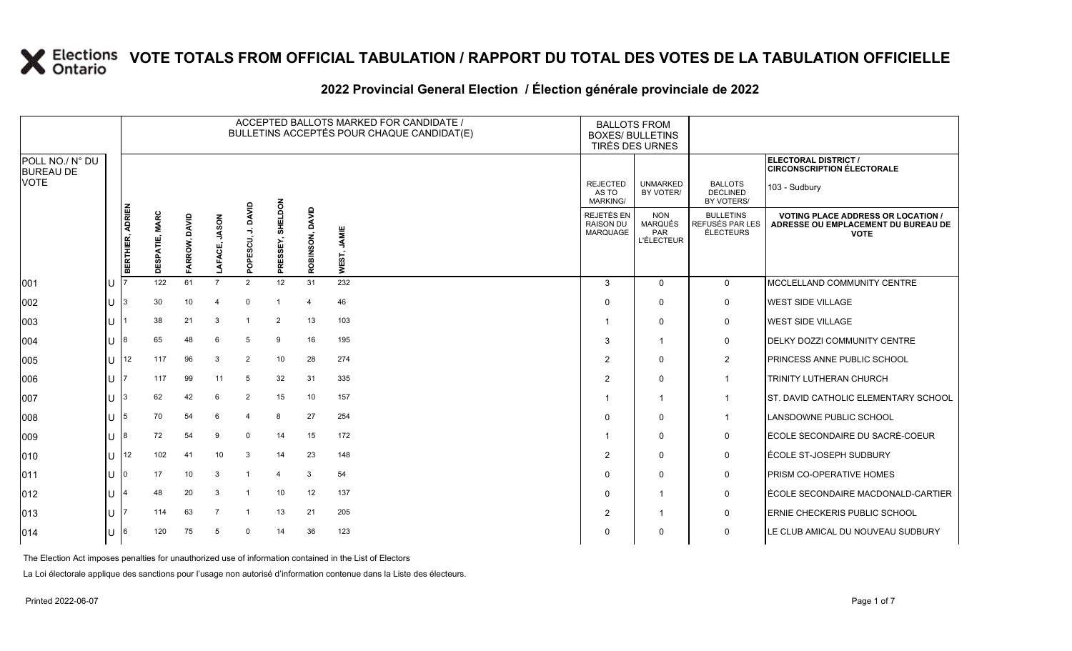### **2022 Provincial General Election / Élection générale provinciale de 2022**

|                                     | ACCEPTED BALLOTS MARKED FOR CANDIDATE /<br>BULLETINS ACCEPTÉS POUR CHAQUE CANDIDAT(E) |                  |                                 |                  |                    |                                              |                        |                 |                | <b>BOXES/ BULLETINS</b>                           | <b>BALLOTS FROM</b><br>TIRÉS DES URNES            |                                                  |                                                                                                 |
|-------------------------------------|---------------------------------------------------------------------------------------|------------------|---------------------------------|------------------|--------------------|----------------------------------------------|------------------------|-----------------|----------------|---------------------------------------------------|---------------------------------------------------|--------------------------------------------------|-------------------------------------------------------------------------------------------------|
| POLL NO./ N° DU<br><b>BUREAU DE</b> |                                                                                       |                  |                                 |                  |                    |                                              |                        |                 |                |                                                   |                                                   |                                                  | ELECTORAL DISTRICT /<br><b>CIRCONSCRIPTION ÉLECTORALE</b>                                       |
| <b>VOTE</b>                         |                                                                                       |                  |                                 |                  |                    |                                              |                        |                 |                | <b>REJECTED</b><br>AS TO<br><b>MARKING/</b>       | <b>UNMARKED</b><br>BY VOTER/                      | <b>BALLOTS</b><br><b>DECLINED</b><br>BY VOTERS/  | 103 - Sudbury                                                                                   |
|                                     |                                                                                       | BERTHIER, ADRIEN | <b>MARC</b><br><b>DESPATIE,</b> | DAVID<br>FARROW, | <b>JASON</b><br>᠊ᠦ | Ś<br>ಕ್ಷ<br>មី<br>$\overline{8}$<br>$\Omega$ | ELDON<br>동<br>PRESSEY, | ROBINSON, DAVID | JAMIE<br>WEST, | <b>REJETÉS EN</b><br><b>RAISON DU</b><br>MARQUAGE | <b>NON</b><br>MARQUÉS<br>PAR<br><b>L'ÉLECTEUR</b> | <b>BULLETINS</b><br>REFUSÉS PAR LES<br>ÉLECTEURS | <b>VOTING PLACE ADDRESS OR LOCATION /</b><br>ADRESSE OU EMPLACEMENT DU BUREAU DE<br><b>VOTE</b> |
| 001                                 | U                                                                                     |                  | 122                             | 61               | $\overline{7}$     | $\overline{2}$                               | 12                     | 31              | 232            | 3                                                 | $\Omega$                                          | $\mathbf{0}$                                     | MCCLELLAND COMMUNITY CENTRE                                                                     |
| 002                                 | U                                                                                     | 13               | 30                              | 10               | 4                  | $\mathbf 0$                                  |                        | $\overline{4}$  | 46             | 0                                                 | 0                                                 | 0                                                | <b>WEST SIDE VILLAGE</b>                                                                        |
| 003                                 | U                                                                                     |                  | 38                              | 21               | 3                  |                                              | 2                      | 13              | 103            |                                                   | 0                                                 | 0                                                | <b>WEST SIDE VILLAGE</b>                                                                        |
| 004                                 | $\mathsf{U}$ 18                                                                       |                  | 65                              | 48               | 6                  | 5                                            | 9                      | 16              | 195            | -3                                                | -1                                                | 0                                                | <b>DELKY DOZZI COMMUNITY CENTRE</b>                                                             |
| 005                                 | U                                                                                     | 12               | 117                             | 96               | 3                  | $\overline{2}$                               | 10                     | 28              | 274            | $\overline{2}$                                    | 0                                                 | $\overline{a}$                                   | PRINCESS ANNE PUBLIC SCHOOL                                                                     |
| 006                                 | U                                                                                     |                  | 117                             | 99               | 11                 | 5                                            | 32                     | 31              | 335            | $\overline{2}$                                    | $\mathbf{0}$                                      | $\mathbf{1}$                                     | TRINITY LUTHERAN CHURCH                                                                         |
| 007                                 | 11 <sup>3</sup>                                                                       |                  | 62                              | 42               | 6                  | $\overline{2}$                               | 15                     | 10              | 157            |                                                   | -1                                                | $\mathbf{1}$                                     | ST. DAVID CATHOLIC ELEMENTARY SCHOOL                                                            |
| 008                                 | U                                                                                     | 15               | 70                              | 54               | 6                  | $\overline{4}$                               | 8                      | 27              | 254            | $\Omega$                                          | $\Omega$                                          | $\mathbf 1$                                      | LANSDOWNE PUBLIC SCHOOL                                                                         |
| 009                                 | $U$ 8                                                                                 |                  | 72                              | 54               | 9                  | $\mathbf 0$                                  | 14                     | 15              | 172            |                                                   | $\Omega$                                          | 0                                                | ÉCOLE SECONDAIRE DU SACRÉ-COEUR                                                                 |
| 010                                 |                                                                                       | $\bigcup$ 12     | 102                             | 41               | 10                 | 3                                            | 14                     | 23              | 148            | $\overline{2}$                                    | $\Omega$                                          | 0                                                | ÉCOLE ST-JOSEPH SUDBURY                                                                         |
| 011                                 | U                                                                                     | I٥               | 17                              | 10               | 3                  | $\overline{1}$                               | $\Delta$               | 3               | 54             | $\Omega$                                          | 0                                                 | 0                                                | PRISM CO-OPERATIVE HOMES                                                                        |
| 012                                 | U                                                                                     |                  | 48                              | 20               | 3                  |                                              | 10                     | 12              | 137            | $\mathbf 0$                                       |                                                   | 0                                                | ÉCOLE SECONDAIRE MACDONALD-CARTIER                                                              |
| 013                                 | U                                                                                     |                  | 114                             | 63               | -7                 | -1                                           | 13                     | 21              | 205            | $\overline{2}$                                    | -1                                                | 0                                                | ERNIE CHECKERIS PUBLIC SCHOOL                                                                   |
| 014                                 | U                                                                                     | 16               | 120                             | 75               | 5                  | $\Omega$                                     | 14                     | 36              | 123            | $\Omega$                                          | 0                                                 | $\mathbf 0$                                      | LE CLUB AMICAL DU NOUVEAU SUDBURY                                                               |

The Election Act imposes penalties for unauthorized use of information contained in the List of Electors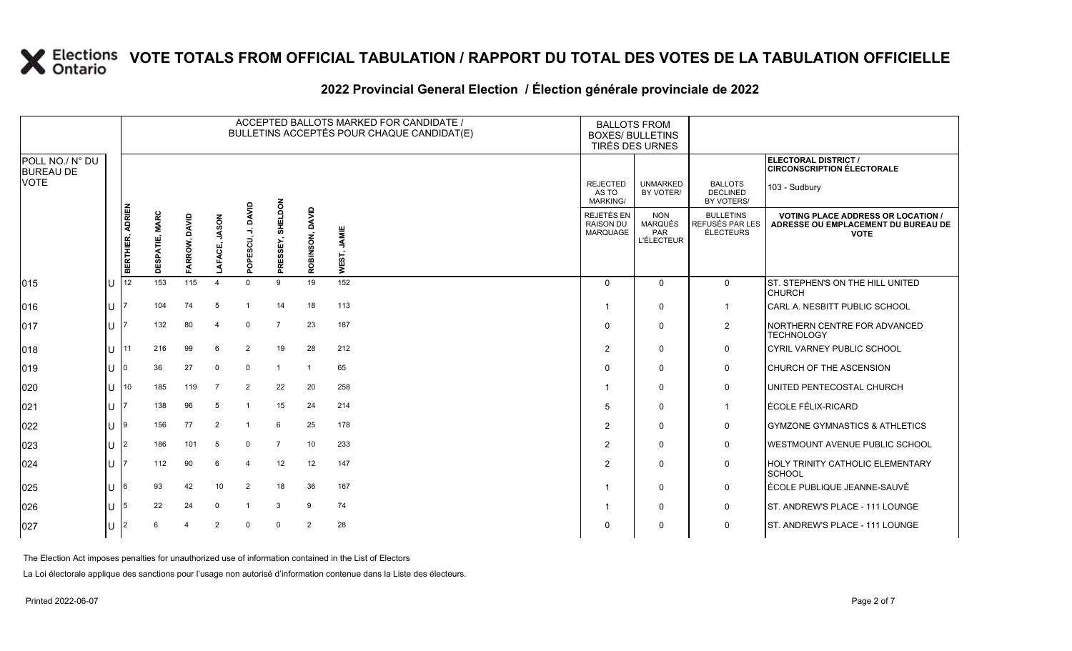#### **2022 Provincial General Election / Élection générale provinciale de 2022**

|                                     |     |                  |                |               |                |                      |                     |                 | ACCEPTED BALLOTS MARKED FOR CANDIDATE /<br>BULLETINS ACCEPTÉS POUR CHAQUE CANDIDAT(E) |                                                   | <b>BALLOTS FROM</b><br><b>BOXES/ BULLETINS</b><br>TIRÉS DES URNES |                                                         |                                                                                                 |
|-------------------------------------|-----|------------------|----------------|---------------|----------------|----------------------|---------------------|-----------------|---------------------------------------------------------------------------------------|---------------------------------------------------|-------------------------------------------------------------------|---------------------------------------------------------|-------------------------------------------------------------------------------------------------|
| POLL NO./ N° DU<br><b>BUREAU DE</b> |     |                  |                |               |                |                      |                     |                 |                                                                                       |                                                   |                                                                   |                                                         | ELECTORAL DISTRICT /<br><b>CIRCONSCRIPTION ÉLECTORALE</b>                                       |
| <b>VOTE</b>                         |     |                  |                |               |                |                      |                     |                 |                                                                                       | <b>REJECTED</b><br>AS TO<br><b>MARKING/</b>       | <b>UNMARKED</b><br>BY VOTER/                                      | <b>BALLOTS</b><br><b>DECLINED</b><br>BY VOTERS/         | 103 - Sudbury                                                                                   |
|                                     |     | BERTHIER, ADRIEN | DESPATIE, MARC | FARROW, DAVID | LAFACE, JASON  | J. DAVID<br>POPESCU, | SHELDON<br>PRESSEY, | ROBINSON, DAVID | JAMIE<br>WEST,                                                                        | <b>REJETÉS EN</b><br><b>RAISON DU</b><br>MARQUAGE | <b>NON</b><br><b>MARQUÉS</b><br>PAR<br><b>L'ÉLECTEUR</b>          | <b>BULLETINS</b><br>REFUSÉS PAR LES<br><b>ÉLECTEURS</b> | <b>VOTING PLACE ADDRESS OR LOCATION /</b><br>ADRESSE OU EMPLACEMENT DU BUREAU DE<br><b>VOTE</b> |
|                                     |     | 12               | 153            | 115           |                | $\Omega$             | 9                   | 19              | 152                                                                                   | $\Omega$                                          | $\Omega$                                                          |                                                         |                                                                                                 |
| 015                                 | ш   |                  |                |               |                |                      |                     |                 |                                                                                       |                                                   |                                                                   | $\mathbf 0$                                             | ST. STEPHEN'S ON THE HILL UNITED<br><b>CHURCH</b>                                               |
| $ 016\rangle$                       | lu  |                  | 104            | 74            | 5              |                      | 14                  | 18              | 113                                                                                   |                                                   | $\mathbf 0$                                                       | $\mathbf{1}$                                            | CARL A. NESBITT PUBLIC SCHOOL                                                                   |
| $ 017\rangle$                       | Iп  |                  | 132            | 80            | 4              | $\Omega$             | $\overline{7}$      | 23              | 187                                                                                   | $\Omega$                                          | $\mathbf 0$                                                       | 2                                                       | NORTHERN CENTRE FOR ADVANCED<br><b>TECHNOLOGY</b>                                               |
| $ 018\rangle$                       | lu  | 11               | 216            | 99            | 6              | $\overline{2}$       | 19                  | 28              | 212                                                                                   | $\overline{2}$                                    | $\mathbf 0$                                                       | $\mathsf{O}$                                            | CYRIL VARNEY PUBLIC SCHOOL                                                                      |
| $ 019\rangle$                       | lu  |                  | 36             | 27            | $\mathbf 0$    | $\mathbf 0$          | -1                  | $\overline{1}$  | 65                                                                                    | 0                                                 | $\mathbf 0$                                                       | 0                                                       | CHURCH OF THE ASCENSION                                                                         |
| 020                                 | lu  | 10               | 185            | 119           | $\overline{7}$ | $\overline{2}$       | 22                  | 20              | 258                                                                                   |                                                   | 0                                                                 | 0                                                       | UNITED PENTECOSTAL CHURCH                                                                       |
| 021                                 | lu  |                  | 138            | 96            | 5              | $\overline{1}$       | 15                  | 24              | 214                                                                                   | 5                                                 | $\mathbf 0$                                                       | $\overline{1}$                                          | ÉCOLE FÉLIX-RICARD                                                                              |
| 022                                 | Iυ. | 19               | 156            | 77            | $\overline{2}$ | -1                   | 6                   | 25              | 178                                                                                   | 2                                                 | $\mathbf 0$                                                       | $\mathsf{O}$                                            | <b>GYMZONE GYMNASTICS &amp; ATHLETICS</b>                                                       |
| 023                                 | lu  | $\overline{2}$   | 186            | 101           | 5              | $\mathbf 0$          | $\overline{7}$      | 10              | 233                                                                                   | $\overline{2}$                                    | $\mathbf 0$                                                       | $\mathsf{O}$                                            | <b>WESTMOUNT AVENUE PUBLIC SCHOOL</b>                                                           |
| 024                                 | Iп  |                  | 112            | 90            | 6              | $\overline{4}$       | 12                  | 12              | 147                                                                                   | $\overline{2}$                                    | $\Omega$                                                          | $\mathbf 0$                                             | <b>HOLY TRINITY CATHOLIC ELEMENTARY</b><br><b>SCHOOL</b>                                        |
| 025                                 | lu  | 6                | 93             | 42            | 10             | $\overline{2}$       | 18                  | 36              | 167                                                                                   |                                                   | $\mathbf 0$                                                       | $\mathsf{O}$                                            | ÉCOLE PUBLIQUE JEANNE-SAUVÉ                                                                     |
| 026                                 | lu  | 5                | 22             | 24            | $\Omega$       | -1                   | 3                   | 9               | 74                                                                                    |                                                   | $\mathbf 0$                                                       | 0                                                       | ST. ANDREW'S PLACE - 111 LOUNGE                                                                 |
| 027                                 | lu  |                  | 6              |               | $\mathcal{P}$  | $\Omega$             | $\Omega$            | $\overline{2}$  | 28                                                                                    | $\Omega$                                          | $\mathbf 0$                                                       | 0                                                       | ST. ANDREW'S PLACE - 111 LOUNGE                                                                 |

The Election Act imposes penalties for unauthorized use of information contained in the List of Electors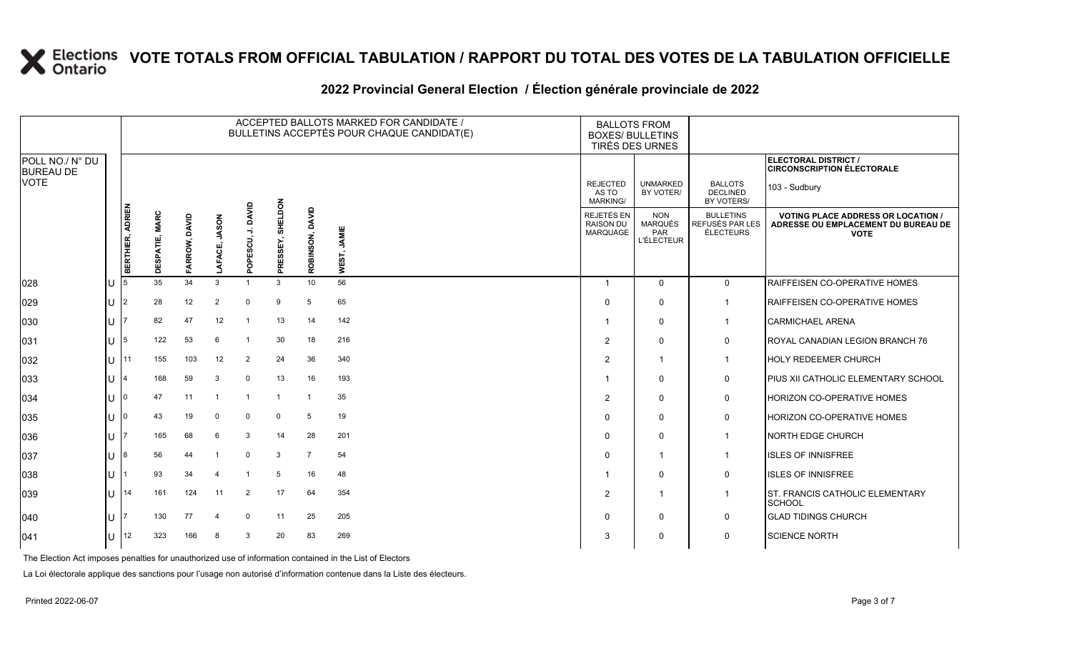### **2022 Provincial General Election / Élection générale provinciale de 2022**

|                                     |              |                  |                |                  |                           |                                           |                     |                 | ACCEPTED BALLOTS MARKED FOR CANDIDATE /<br>BULLETINS ACCEPTÉS POUR CHAQUE CANDIDAT(E) | <b>BALLOTS FROM</b><br><b>BOXES/ BULLETINS</b><br>TIRÉS DES URNES |                                                          |                                                  |                                                                                                 |
|-------------------------------------|--------------|------------------|----------------|------------------|---------------------------|-------------------------------------------|---------------------|-----------------|---------------------------------------------------------------------------------------|-------------------------------------------------------------------|----------------------------------------------------------|--------------------------------------------------|-------------------------------------------------------------------------------------------------|
| POLL NO./ N° DU<br><b>BUREAU DE</b> |              |                  |                |                  |                           |                                           |                     |                 |                                                                                       |                                                                   |                                                          |                                                  | ELECTORAL DISTRICT /<br><b>CIRCONSCRIPTION ÉLECTORALE</b>                                       |
| <b>VOTE</b>                         |              |                  |                |                  |                           |                                           |                     |                 |                                                                                       | <b>REJECTED</b><br>AS TO<br><b>MARKING/</b>                       | <b>UNMARKED</b><br>BY VOTER/                             | <b>BALLOTS</b><br><b>DECLINED</b><br>BY VOTERS/  | 103 - Sudbury                                                                                   |
|                                     |              | BERTHIER, ADRIEN | DESPATIE, MARC | DAVID<br>FARROW, | <b>JASON</b><br>ō<br>LAFA | DAVID<br>$\rightarrow$<br>ESCU,<br>ō<br>௳ | SHELDON<br>PRESSEY, | ROBINSON, DAVID | JAMIE<br>WEST,                                                                        | REJETÉS EN<br><b>RAISON DU</b><br>MARQUAGE                        | <b>NON</b><br>MARQUÉS<br><b>PAR</b><br><b>L'ÉLECTEUR</b> | <b>BULLETINS</b><br>REFUSÉS PAR LES<br>ÉLECTEURS | <b>VOTING PLACE ADDRESS OR LOCATION /</b><br>ADRESSE OU EMPLACEMENT DU BUREAU DE<br><b>VOTE</b> |
| 028                                 | U            | 15               | 35             | 34               | 3                         | $\mathbf{1}$                              | 3                   | 10              | 56                                                                                    | -1                                                                | $\mathbf{0}$                                             | $\mathbf 0$                                      | RAIFFEISEN CO-OPERATIVE HOMES                                                                   |
| 029                                 | lU.          | l2               | 28             | 12               | $\overline{2}$            | $\mathbf 0$                               | 9                   | 5               | 65                                                                                    | $\Omega$                                                          | 0                                                        | -1                                               | RAIFFEISEN CO-OPERATIVE HOMES                                                                   |
| 030                                 | lU.          |                  | 82             | 47               | 12                        |                                           | 13                  | 14              | 142                                                                                   |                                                                   | $\Omega$                                                 | $\mathbf{1}$                                     | <b>CARMICHAEL ARENA</b>                                                                         |
| 031                                 | $ U $ 5      |                  | 122            | 53               | 6                         |                                           | 30                  | 18              | 216                                                                                   | $\overline{2}$                                                    | $\Omega$                                                 | 0                                                | <b>ROYAL CANADIAN LEGION BRANCH 76</b>                                                          |
| 032                                 | lu-          | I 11             | 155            | 103              | 12                        | $\overline{2}$                            | 24                  | 36              | 340                                                                                   | $\overline{2}$                                                    | -1                                                       | $\mathbf{1}$                                     | <b>HOLY REDEEMER CHURCH</b>                                                                     |
| 033                                 | $\cup$       |                  | 168            | 59               | 3                         | $\mathbf 0$                               | 13                  | 16              | 193                                                                                   |                                                                   | $\Omega$                                                 | $\mathbf 0$                                      | <b>PIUS XII CATHOLIC ELEMENTARY SCHOOL</b>                                                      |
| 034                                 | U            | I0               | 47             | 11               |                           | -1                                        | -1                  | 1               | 35                                                                                    | $\overline{2}$                                                    | $\mathbf{0}$                                             | 0                                                | <b>HORIZON CO-OPERATIVE HOMES</b>                                                               |
| 035                                 | U            | I0               | 43             | 19               | $\mathbf 0$               | $\mathbf 0$                               | $\Omega$            | 5               | 19                                                                                    | $\Omega$                                                          | $\Omega$                                                 | 0                                                | <b>HORIZON CO-OPERATIVE HOMES</b>                                                               |
| 036                                 | U            |                  | 165            | 68               | 6                         | 3                                         | 14                  | 28              | 201                                                                                   | $\Omega$                                                          | $\mathbf{0}$                                             | $\overline{1}$                                   | NORTH EDGE CHURCH                                                                               |
| 037                                 | lU.          | 18               | 56             | 44               |                           | $\mathbf 0$                               | 3                   | $\overline{7}$  | 54                                                                                    | $\Omega$                                                          | -1                                                       | $\mathbf{1}$                                     | <b>ISLES OF INNISFREE</b>                                                                       |
| 038                                 | U            |                  | 93             | 34               | 4                         |                                           | 5                   | 16              | 48                                                                                    |                                                                   | $\Omega$                                                 | 0                                                | <b>ISLES OF INNISFREE</b>                                                                       |
| 039                                 | $\bigcup$ 14 |                  | 161            | 124              | 11                        | $\overline{2}$                            | 17                  | 64              | 354                                                                                   | $\overline{2}$                                                    | -1                                                       | $\mathbf{1}$                                     | ST. FRANCIS CATHOLIC ELEMENTARY<br><b>SCHOOL</b>                                                |
| 040                                 | U            |                  | 130            | 77               | 4                         | $\mathbf 0$                               | 11                  | 25              | 205                                                                                   | $\Omega$                                                          | $\mathbf{0}$                                             | 0                                                | <b>GLAD TIDINGS CHURCH</b>                                                                      |
| 041                                 | U            | 12               | 323            | 166              | -8                        | 3                                         | 20                  | 83              | 269                                                                                   | 3                                                                 | $\Omega$                                                 | 0                                                | <b>SCIENCE NORTH</b>                                                                            |

The Election Act imposes penalties for unauthorized use of information contained in the List of Electors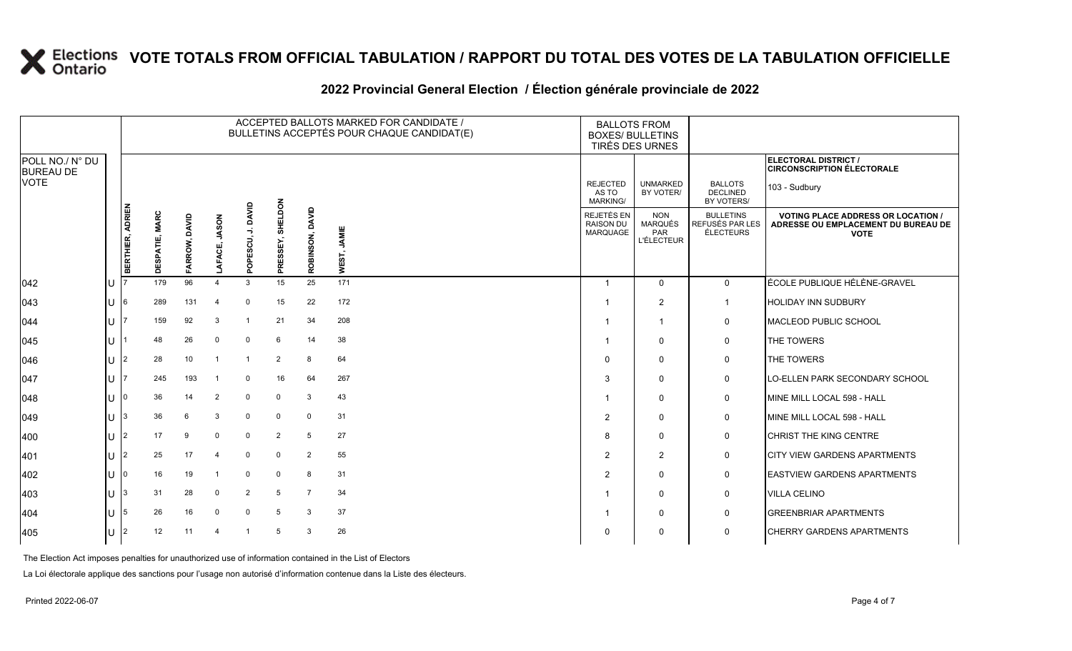### **2022 Provincial General Election / Élection générale provinciale de 2022**

|                                     | ACCEPTED BALLOTS MARKED FOR CANDIDATE /<br><b>BALLOTS FROM</b><br>BULLETINS ACCEPTÉS POUR CHAQUE CANDIDAT(E)<br><b>BOXES/ BULLETINS</b><br>TIRÉS DES URNES |                  |                |               |                         |                        |                     |                 |                |                                             |                                                          |                                                  |                                                                                                 |
|-------------------------------------|------------------------------------------------------------------------------------------------------------------------------------------------------------|------------------|----------------|---------------|-------------------------|------------------------|---------------------|-----------------|----------------|---------------------------------------------|----------------------------------------------------------|--------------------------------------------------|-------------------------------------------------------------------------------------------------|
| POLL NO./ N° DU<br><b>BUREAU DE</b> |                                                                                                                                                            |                  |                |               |                         |                        |                     |                 |                |                                             |                                                          |                                                  | <b>ELECTORAL DISTRICT /</b><br><b>CIRCONSCRIPTION ÉLECTORALE</b>                                |
| <b>VOTE</b>                         |                                                                                                                                                            |                  |                |               |                         |                        |                     |                 |                | <b>REJECTED</b><br>AS TO<br><b>MARKING/</b> | <b>UNMARKED</b><br>BY VOTER/                             | <b>BALLOTS</b><br><b>DECLINED</b><br>BY VOTERS/  | 103 - Sudbury                                                                                   |
|                                     |                                                                                                                                                            | BERTHIER, ADRIEN | DESPATIE, MARC | FARROW, DAVID | <b>UASON</b><br>LAFACE, | DAVID<br>⇒<br>POPESCU, | SHELDON<br>PRESSEY, | ROBINSON, DAVID | JAMIE<br>WEST, | REJETÉS EN<br><b>RAISON DU</b><br>MARQUAGE  | <b>NON</b><br><b>MARQUÉS</b><br>PAR<br><b>L'ÉLECTEUR</b> | <b>BULLETINS</b><br>REFUSÉS PAR LES<br>ÉLECTEURS | <b>VOTING PLACE ADDRESS OR LOCATION /</b><br>ADRESSE OU EMPLACEMENT DU BUREAU DE<br><b>VOTE</b> |
| 042                                 |                                                                                                                                                            |                  | 179            | 96            | $\boldsymbol{\Delta}$   | $\mathbf{3}$           | 15                  | 25              | 171            |                                             | $\Omega$                                                 | $\mathbf 0$                                      | ÉCOLE PUBLIQUE HÉLÈNE-GRAVEL                                                                    |
| 043                                 | U                                                                                                                                                          | 6                | 289            | 131           | $\overline{4}$          | $\overline{0}$         | 15                  | 22              | 172            |                                             | $\overline{2}$                                           | $\overline{1}$                                   | <b>HOLIDAY INN SUDBURY</b>                                                                      |
| 044                                 | U                                                                                                                                                          |                  | 159            | 92            | 3                       | -1                     | 21                  | 34              | 208            |                                             | $\overline{\mathbf{1}}$                                  | $\mathbf 0$                                      | MACLEOD PUBLIC SCHOOL                                                                           |
| 045                                 | U.                                                                                                                                                         |                  | 48             | 26            | $\Omega$                | $\mathbf 0$            | 6                   | 14              | 38             |                                             | $\Omega$                                                 | 0                                                | THE TOWERS                                                                                      |
| 046                                 | U                                                                                                                                                          | 2                | 28             | 10            | -1                      | $\overline{1}$         | 2                   | 8               | 64             | $\Omega$                                    | $\Omega$                                                 | 0                                                | THE TOWERS                                                                                      |
| 047                                 | U                                                                                                                                                          |                  | 245            | 193           |                         | 0                      | 16                  | 64              | 267            | 3                                           | $\Omega$                                                 | $\mathbf 0$                                      | LO-ELLEN PARK SECONDARY SCHOOL                                                                  |
| 048                                 | U                                                                                                                                                          |                  | 36             | 14            | $\overline{2}$          | $\mathbf 0$            | $\Omega$            | 3               | 43             |                                             | 0                                                        | 0                                                | MINE MILL LOCAL 598 - HALL                                                                      |
| 049                                 | U                                                                                                                                                          |                  | 36             | 6             | 3                       | $\mathbf 0$            | $\mathbf 0$         | $\mathbf 0$     | 31             | $\overline{2}$                              | $\mathbf 0$                                              | $\mathbf 0$                                      | MINE MILL LOCAL 598 - HALL                                                                      |
| 400                                 | U                                                                                                                                                          | $\mathfrak{p}$   | 17             | 9             | $\Omega$                | $\mathbf 0$            | $\overline{2}$      | $5\phantom{.0}$ | 27             | 8                                           | $\Omega$                                                 | $\mathsf{O}$                                     | <b>CHRIST THE KING CENTRE</b>                                                                   |
| 401                                 | $\cup$                                                                                                                                                     |                  | 25             | 17            | $\overline{4}$          | $\overline{0}$         | $\Omega$            | 2               | 55             | $\overline{2}$                              | $\overline{2}$                                           | 0                                                | <b>CITY VIEW GARDENS APARTMENTS</b>                                                             |
| 402                                 | U                                                                                                                                                          |                  | 16             | 19            | -1                      | $\overline{0}$         | $\Omega$            | 8               | 31             | $\overline{2}$                              | $\mathbf 0$                                              | 0                                                | <b>EASTVIEW GARDENS APARTMENTS</b>                                                              |
| 403                                 | U                                                                                                                                                          |                  | 31             | 28            | $\Omega$                | $\overline{2}$         | 5                   | $\overline{7}$  | 34             |                                             | $\Omega$                                                 | 0                                                | <b>VILLA CELINO</b>                                                                             |
| 404                                 | U                                                                                                                                                          | 5                | 26             | 16            | $\Omega$                | 0                      | 5                   | 3               | 37             |                                             | $\mathbf 0$                                              | 0                                                | <b>GREENBRIAR APARTMENTS</b>                                                                    |
| 405                                 |                                                                                                                                                            | 2                | 12             | 11            | $\overline{4}$          | $\overline{1}$         | 5                   | 3               | 26             | $\Omega$                                    | $\mathbf 0$                                              | $\mathbf 0$                                      | <b>CHERRY GARDENS APARTMENTS</b>                                                                |

The Election Act imposes penalties for unauthorized use of information contained in the List of Electors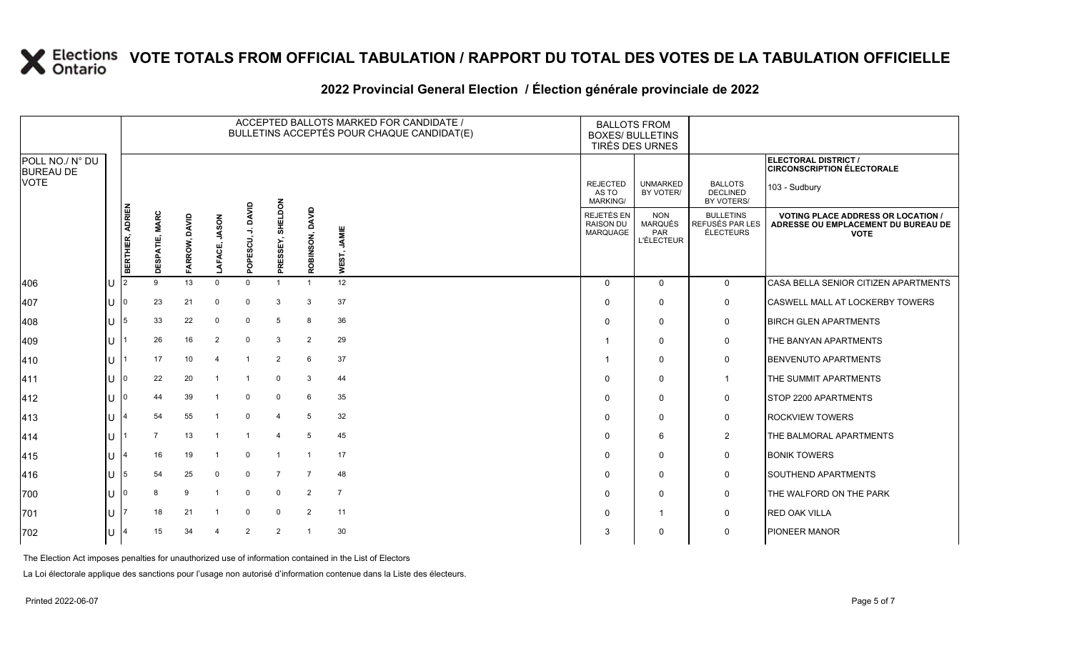### **2022 Provincial General Election / Élection générale provinciale de 2022**

|                                     |     |                         |                |               |                        |                         |                     |                 | ACCEPTED BALLOTS MARKED FOR CANDIDATE /<br>BULLETINS ACCEPTÉS POUR CHAQUE CANDIDAT(E) | <b>BOXES/ BULLETINS</b>                     | <b>BALLOTS FROM</b><br>TIRÉS DES URNES                   |                                                  |                                                                                                 |  |
|-------------------------------------|-----|-------------------------|----------------|---------------|------------------------|-------------------------|---------------------|-----------------|---------------------------------------------------------------------------------------|---------------------------------------------|----------------------------------------------------------|--------------------------------------------------|-------------------------------------------------------------------------------------------------|--|
| POLL NO./ N° DU<br><b>BUREAU DE</b> |     |                         |                |               |                        |                         |                     |                 |                                                                                       |                                             |                                                          |                                                  | ELECTORAL DISTRICT /<br><b>CIRCONSCRIPTION ÉLECTORALE</b>                                       |  |
| <b>VOTE</b>                         |     |                         |                |               |                        |                         |                     |                 |                                                                                       | <b>REJECTED</b><br>AS TO<br><b>MARKING/</b> | <b>UNMARKED</b><br>BY VOTER/                             | <b>BALLOTS</b><br><b>DECLINED</b><br>BY VOTERS/  | 103 - Sudbury                                                                                   |  |
|                                     |     | BERTHIER, ADRIEN        | DESPATIE, MARC | FARROW, DAVID | <b>NOSAL</b><br>AFACE, | DAVID<br>₹<br>POPESCU,  | SHELDON<br>PRESSEY, | ROBINSON, DAVID | JAMIE<br>WEST,                                                                        | REJETÉS EN<br><b>RAISON DU</b><br>MARQUAGE  | <b>NON</b><br><b>MARQUÉS</b><br>PAR<br><b>L'ÉLECTEUR</b> | <b>BULLETINS</b><br>REFUSÉS PAR LES<br>ÉLECTEURS | <b>VOTING PLACE ADDRESS OR LOCATION /</b><br>ADRESSE OU EMPLACEMENT DU BUREAU DE<br><b>VOTE</b> |  |
| 406                                 | IU  |                         | 9              | 13            | $\Omega$               | $\Omega$                |                     |                 | 12                                                                                    | $\Omega$                                    | $\mathbf 0$                                              | $\mathsf{O}$                                     | CASA BELLA SENIOR CITIZEN APARTMENTS                                                            |  |
| 407                                 | ΙU  |                         | 23             | 21            | 0                      | $\mathbf 0$             | 3                   | 3               | 37                                                                                    | $\Omega$                                    | $\mathbf 0$                                              | 0                                                | <b>CASWELL MALL AT LOCKERBY TOWERS</b>                                                          |  |
| 408                                 | lU  | 5                       | 33             | 22            | $\Omega$               | 0                       | 5                   | 8               | 36                                                                                    | $\Omega$                                    | $\mathbf 0$                                              | $\pmb{0}$                                        | <b>BIRCH GLEN APARTMENTS</b>                                                                    |  |
| 409                                 | lU  |                         | 26             | 16            | $\overline{2}$         | 0                       | 3                   | $\overline{2}$  | 29                                                                                    |                                             | 0                                                        | 0                                                | THE BANYAN APARTMENTS                                                                           |  |
| 410                                 | lu  |                         | 17             | 10            | $\overline{4}$         | $\overline{\mathbf{1}}$ | $\overline{2}$      | 6               | 37                                                                                    | -1                                          | $\mathbf 0$                                              | 0                                                | <b>BENVENUTO APARTMENTS</b>                                                                     |  |
| 411                                 | lU  | $\Omega$                | 22             | 20            |                        |                         | $\mathbf 0$         | 3               | 44                                                                                    | $\Omega$                                    | $\mathbf 0$                                              | $\mathbf{1}$                                     | THE SUMMIT APARTMENTS                                                                           |  |
| 412                                 | IП  |                         | 44             | 39            | - 1                    | $\mathbf 0$             | $\mathbf 0$         | 6               | 35                                                                                    | $\Omega$                                    | $\mathbf 0$                                              | 0                                                | STOP 2200 APARTMENTS                                                                            |  |
| 413                                 | lu  | 4                       | 54             | 55            |                        | $\mathbf 0$             | $\overline{4}$      | 5               | 32                                                                                    | $\Omega$                                    | $\mathbf 0$                                              | 0                                                | <b>ROCKVIEW TOWERS</b>                                                                          |  |
| 414                                 | ΙU  |                         | $\overline{7}$ | 13            |                        |                         | $\overline{4}$      | 5               | 45                                                                                    | $\Omega$                                    | 6                                                        | $\overline{2}$                                   | THE BALMORAL APARTMENTS                                                                         |  |
| 415                                 | ΠT  | $\overline{\mathbf{A}}$ | 16             | 19            | - 1                    | $\mathbf 0$             | $\overline{1}$      | $\overline{1}$  | 17                                                                                    | $\Omega$                                    | 0                                                        | 0                                                | <b>BONIK TOWERS</b>                                                                             |  |
| 416                                 | lU  | 5                       | 54             | 25            | $\mathbf 0$            | $\mathbf 0$             | $\overline{7}$      | $\overline{7}$  | 48                                                                                    | $\Omega$                                    | $\mathbf 0$                                              | 0                                                | <b>SOUTHEND APARTMENTS</b>                                                                      |  |
| 700                                 | lu- |                         | 8              | 9             | -1                     | 0                       | $\mathbf 0$         | $\overline{2}$  | $\overline{7}$                                                                        | $\mathbf{0}$                                | $\mathbf 0$                                              | 0                                                | THE WALFORD ON THE PARK                                                                         |  |
| 701                                 | IП  |                         | 18             | 21            | - 1                    | $\mathbf 0$             | $\mathbf 0$         | $\overline{2}$  | 11                                                                                    | $\Omega$                                    | $\overline{1}$                                           | 0                                                | <b>RED OAK VILLA</b>                                                                            |  |
| 702                                 | lU. | 4                       | 15             | 34            | 4                      | $\overline{2}$          | $\overline{2}$      |                 | 30                                                                                    | 3                                           | 0                                                        | 0                                                | PIONEER MANOR                                                                                   |  |

The Election Act imposes penalties for unauthorized use of information contained in the List of Electors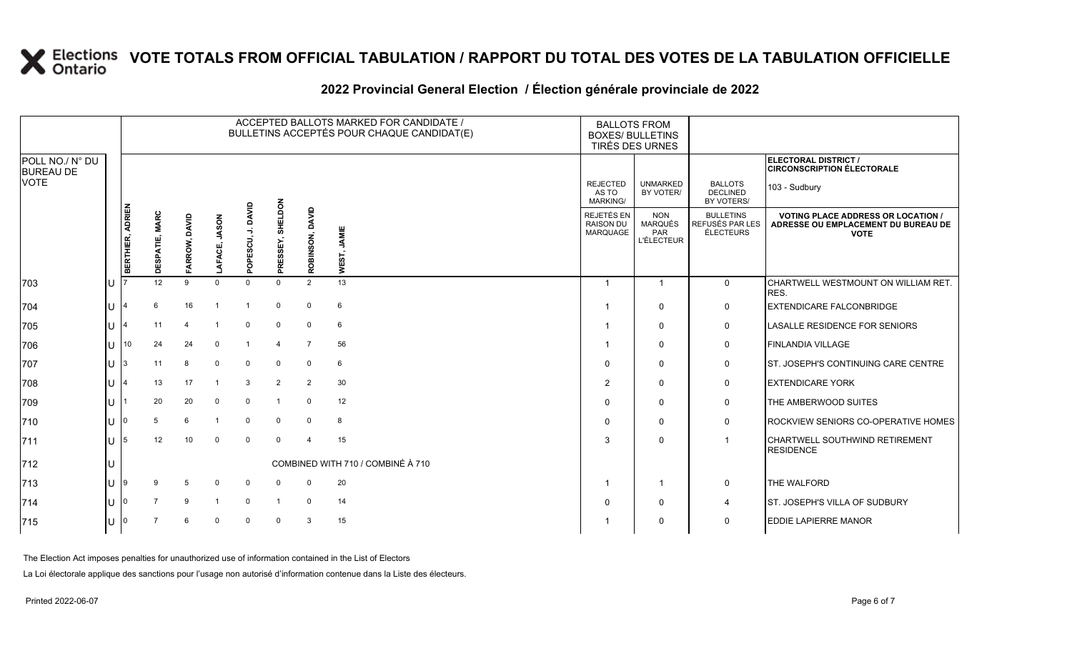### **2022 Provincial General Election / Élection générale provinciale de 2022**

|                                     |    |                  |                |               |                        |               |                         |                         | ACCEPTED BALLOTS MARKED FOR CANDIDATE /<br>BULLETINS ACCEPTÉS POUR CHAQUE CANDIDAT(E) |                                             | <b>BALLOTS FROM</b><br><b>BOXES/ BULLETINS</b><br><b>TIRÉS DES URNES</b> |                                                  |                                                                                                 |
|-------------------------------------|----|------------------|----------------|---------------|------------------------|---------------|-------------------------|-------------------------|---------------------------------------------------------------------------------------|---------------------------------------------|--------------------------------------------------------------------------|--------------------------------------------------|-------------------------------------------------------------------------------------------------|
| POLL NO./ N° DU<br><b>BUREAU DE</b> |    |                  |                |               |                        |               |                         |                         |                                                                                       |                                             |                                                                          |                                                  | <b>ELECTORAL DISTRICT /</b><br><b>CIRCONSCRIPTION ÉLECTORALE</b>                                |
| <b>VOTE</b>                         |    |                  |                |               |                        |               | <b>NOCI</b>             |                         |                                                                                       | <b>REJECTED</b><br>AS TO<br><b>MARKING/</b> | <b>UNMARKED</b><br>BY VOTER/                                             | <b>BALLOTS</b><br><b>DECLINED</b><br>BY VOTERS/  | 103 - Sudbury                                                                                   |
|                                     |    | BERTHIER, ADRIEN | DESPATIE, MARC | FARROW, DAVID | <b>NOSAL</b><br>5<br>₹ | DAVID<br>ESCU | 퓕<br>SSEY,<br>PRE       | ROBINSON, DAVID         | JAMIE<br>WEST,                                                                        | REJETÉS EN<br><b>RAISON DU</b><br>MARQUAGE  | <b>NON</b><br><b>MARQUÉS</b><br>PAR<br><b>L'ÉLECTEUR</b>                 | <b>BULLETINS</b><br>REFUSÉS PAR LES<br>ÉLECTEURS | <b>VOTING PLACE ADDRESS OR LOCATION /</b><br>ADRESSE OU EMPLACEMENT DU BUREAU DE<br><b>VOTE</b> |
| 703                                 | lu |                  | 12             | 9             | $\Omega$               | 인<br>$\Omega$ | $\Omega$                | 2                       | 13                                                                                    | $\overline{1}$                              | $\overline{1}$                                                           | $\mathbf 0$                                      | CHARTWELL WESTMOUNT ON WILLIAM RET.                                                             |
| 704                                 | IП |                  | 6              | 16            |                        |               | $\mathbf 0$             | $\mathbf 0$             | 6                                                                                     | -1                                          | $\mathbf{0}$                                                             | 0                                                | RES.<br><b>EXTENDICARE FALCONBRIDGE</b>                                                         |
| 705                                 | lu |                  | 11             |               |                        | $\mathbf 0$   | $\Omega$                | $\mathbf 0$             | 6                                                                                     | -1                                          | $\mathbf 0$                                                              | 0                                                | LASALLE RESIDENCE FOR SENIORS                                                                   |
| 706                                 | IП | 10 <sup>1</sup>  | 24             | 24            | $\Omega$               |               | $\overline{\mathbf{4}}$ | $\overline{7}$          | 56                                                                                    | -1                                          | $\Omega$                                                                 | 0                                                | FINLANDIA VILLAGE                                                                               |
| 707                                 | Iп |                  | 11             | 8             | $\mathbf 0$            | $\mathbf 0$   | $\mathbf 0$             | $\mathbf 0$             | 6                                                                                     | $\Omega$                                    | $\mathbf{0}$                                                             | 0                                                | ST. JOSEPH'S CONTINUING CARE CENTRE                                                             |
| 708                                 | lu |                  | 13             | 17            |                        | 3             | $\overline{2}$          | $\overline{2}$          | 30                                                                                    | 2                                           | $\Omega$                                                                 | 0                                                | <b>EXTENDICARE YORK</b>                                                                         |
| 709                                 | IН |                  | 20             | 20            | $\Omega$               | $\mathbf 0$   | $\overline{1}$          | $\mathbf 0$             | 12                                                                                    | $\Omega$                                    | $\Omega$                                                                 | 0                                                | THE AMBERWOOD SUITES                                                                            |
| 710                                 | lu |                  | 5              | 6             |                        | $\mathbf 0$   | $\mathbf 0$             | $\mathbf 0$             | 8                                                                                     | $\Omega$                                    | $\mathbf 0$                                                              | 0                                                | ROCKVIEW SENIORS CO-OPERATIVE HOMES                                                             |
| 711                                 | lu |                  | 12             | 10            | $\Omega$               | $\mathbf 0$   | $\Omega$                | $\overline{\mathbf{4}}$ | 15                                                                                    | 3                                           | $\Omega$                                                                 | $\mathbf 1$                                      | CHARTWELL SOUTHWIND RETIREMENT<br><b>RESIDENCE</b>                                              |
| 712                                 | lu |                  |                |               |                        |               |                         |                         | COMBINED WITH 710 / COMBINÉ À 710                                                     |                                             |                                                                          |                                                  |                                                                                                 |
| 713                                 | lu |                  |                | .5            | $\Omega$               | 0             |                         | $\Omega$                | 20                                                                                    | -1                                          | $\overline{1}$                                                           | $\mathbf 0$                                      | THE WALFORD                                                                                     |
| 714                                 | lu |                  |                | 9             |                        | $\mathbf 0$   | $\overline{1}$          | $\Omega$                | 14                                                                                    | $\Omega$                                    | $\mathbf{0}$                                                             | 4                                                | ST. JOSEPH'S VILLA OF SUDBURY                                                                   |
| 715                                 | lu |                  |                |               | $\Omega$               | $\Omega$      | $\Omega$                | 3                       | 15                                                                                    |                                             | $\mathbf{0}$                                                             | $\mathbf 0$                                      | <b>EDDIE LAPIERRE MANOR</b>                                                                     |

The Election Act imposes penalties for unauthorized use of information contained in the List of Electors